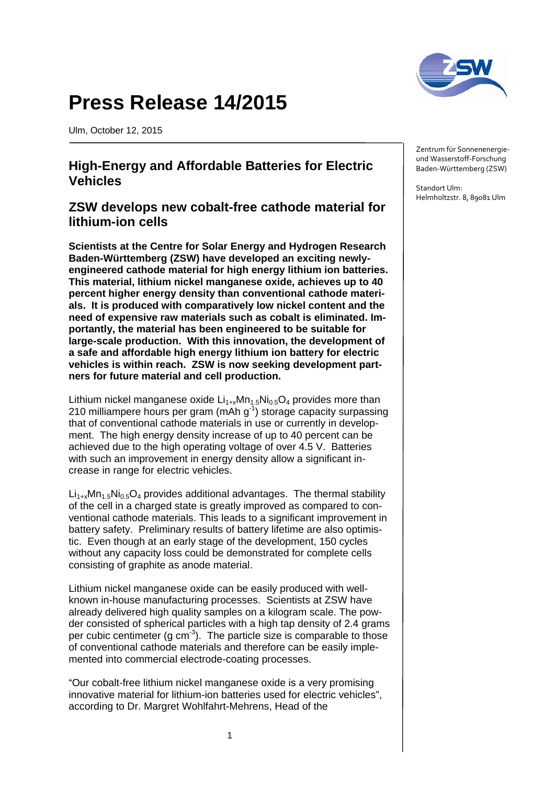

## **Press Release 14/2015**

Ulm, October 12, 2015

## **High-Energy and Affordable Batteries for Electric Vehicles**

## **ZSW develops new cobalt-free cathode material for lithium-ion cells**

**Scientists at the Centre for Solar Energy and Hydrogen Research Baden-Württemberg (ZSW) have developed an exciting newlyengineered cathode material for high energy lithium ion batteries. This material, lithium nickel manganese oxide, achieves up to 40 percent higher energy density than conventional cathode materials. It is produced with comparatively low nickel content and the need of expensive raw materials such as cobalt is eliminated. Importantly, the material has been engineered to be suitable for large-scale production. With this innovation, the development of a safe and affordable high energy lithium ion battery for electric vehicles is within reach. ZSW is now seeking development partners for future material and cell production.**

Lithium nickel manganese oxide  $Li_{1+x}Mn_{1.5}Ni_{0.5}O_4$  provides more than 210 milliampere hours per gram (mAh  $g^{-1}$ ) storage capacity surpassing that of conventional cathode materials in use or currently in development. The high energy density increase of up to 40 percent can be achieved due to the high operating voltage of over 4.5 V. Batteries with such an improvement in energy density allow a significant increase in range for electric vehicles.

 $Li_{1+x}Mn_{1.5}Ni_{0.5}O_4$  provides additional advantages. The thermal stability of the cell in a charged state is greatly improved as compared to conventional cathode materials. This leads to a significant improvement in battery safety. Preliminary results of battery lifetime are also optimistic. Even though at an early stage of the development, 150 cycles without any capacity loss could be demonstrated for complete cells consisting of graphite as anode material.

Lithium nickel manganese oxide can be easily produced with wellknown in-house manufacturing processes. Scientists at ZSW have already delivered high quality samples on a kilogram scale. The powder consisted of spherical particles with a high tap density of 2.4 grams per cubic centimeter (g cm<sup>-3</sup>). The particle size is comparable to those of conventional cathode materials and therefore can be easily implemented into commercial electrode-coating processes.

"Our cobalt-free lithium nickel manganese oxide is a very promising innovative material for lithium-ion batteries used for electric vehicles", according to Dr. Margret Wohlfahrt-Mehrens, Head of the

Zentrum für Sonnenenergieund Wasserstoff-Forschung Baden-Württemberg (ZSW)

Standort Ulm: Helmholtzstr. 8, 89081 Ulm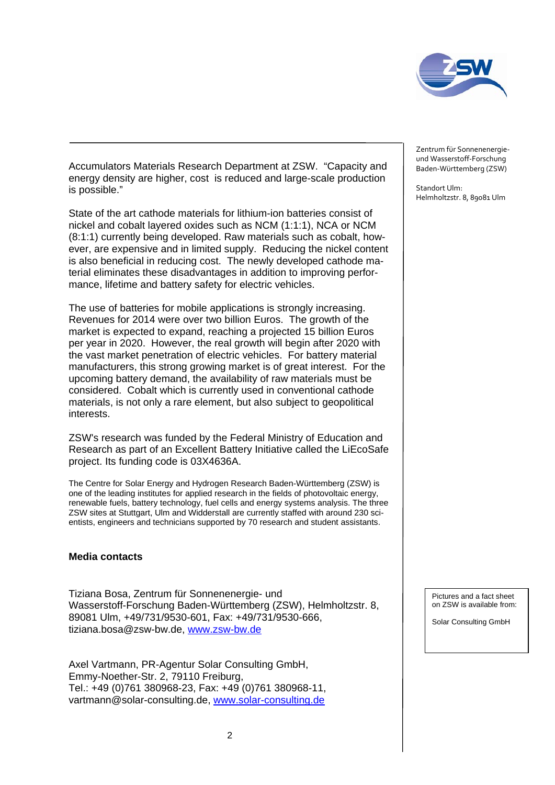

Accumulators Materials Research Department at ZSW. "Capacity and energy density are higher, cost is reduced and large-scale production is possible."

State of the art cathode materials for lithium-ion batteries consist of nickel and cobalt layered oxides such as NCM (1:1:1), NCA or NCM (8:1:1) currently being developed. Raw materials such as cobalt, however, are expensive and in limited supply. Reducing the nickel content is also beneficial in reducing cost. The newly developed cathode material eliminates these disadvantages in addition to improving performance, lifetime and battery safety for electric vehicles.

The use of batteries for mobile applications is strongly increasing. Revenues for 2014 were over two billion Euros. The growth of the market is expected to expand, reaching a projected 15 billion Euros per year in 2020. However, the real growth will begin after 2020 with the vast market penetration of electric vehicles. For battery material manufacturers, this strong growing market is of great interest. For the upcoming battery demand, the availability of raw materials must be considered. Cobalt which is currently used in conventional cathode materials, is not only a rare element, but also subject to geopolitical interests.

ZSW's research was funded by the Federal Ministry of Education and Research as part of an Excellent Battery Initiative called the LiEcoSafe project. Its funding code is 03X4636A.

The Centre for Solar Energy and Hydrogen Research Baden-Württemberg (ZSW) is one of the leading institutes for applied research in the fields of photovoltaic energy, renewable fuels, battery technology, fuel cells and energy systems analysis. The three ZSW sites at Stuttgart, Ulm and Widderstall are currently staffed with around 230 scientists, engineers and technicians supported by 70 research and student assistants.

## **Media contacts**

Tiziana Bosa, Zentrum für Sonnenenergie- und Wasserstoff-Forschung Baden-Württemberg (ZSW), Helmholtzstr. 8, 89081 Ulm, +49/731/9530-601, Fax: +49/731/9530-666, tiziana.bosa@zsw-bw.de, [www.zsw-bw.de](http://www.zsw-bw.de/)

Axel Vartmann, PR-Agentur Solar Consulting GmbH, Emmy-Noether-Str. 2, 79110 Freiburg, Tel.: +49 (0)761 380968-23, Fax: +49 (0)761 380968-11, vartmann@solar-consulting.de, [www.solar-consulting.de](http://www.solar-consulting.de/)

Zentrum für Sonnenenergieund Wasserstoff-Forschung Baden-Württemberg (ZSW)

Standort Ulm: Helmholtzstr. 8, 89081 Ulm

> Pictures and a fact sheet on ZSW is available from:

Solar Consulting GmbH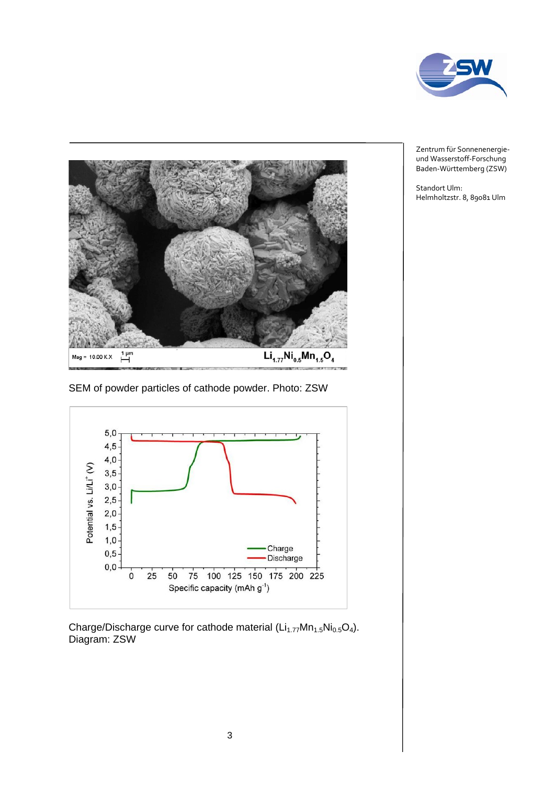



SEM of powder particles of cathode powder. Photo: ZSW



Charge/Discharge curve for cathode material  $(Li_{1.77}Mn_{1.5}Ni_{0.5}O_4)$ . Diagram: ZSW

Zentrum für Sonnenenergieund Wasserstoff-Forschung Baden-Württemberg (ZSW)

Standort Ulm: Helmholtzstr. 8, 89081 Ulm